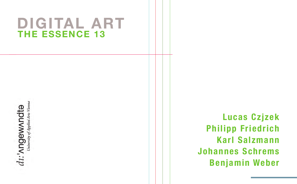# **THE ESSENCE 13 DIGITAL ART**

 $d\mathfrak{U}$ : ' $\Lambda$ ngew $\Lambda$ ndtə

**Lucas Czjzek Philipp Friedrich Karl Salzmann Johannes Schrems Benjamin Weber**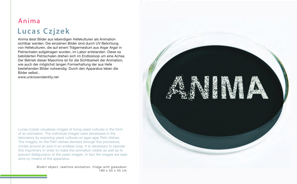#### Anima

#### **Lucas C zjzek**

Anima lässt Bilder aus lebendigen Hefekulturen als Animation sichtbar werden. Die einzelnen Bilder sind durch UV Belichtung von Hefekulturen, die auf einem Trägermedium aus Argar Argar in Petrischalen aufgetragen wurden, im Labor entstanden. Diese so bebilderten Petrischalen drehen sich im Endlosloop um eine Achse. Der Betrieb dieser Maschine ist für die Sichtbarkeit der Animation, wie auch der möglichst langen Formerhaltung der aus Hefe bestehenden Bilder notwendig. Durch den Apparatus leben die Bilder selbst..

www.unknownidentity.net

Lucas Czjzek visualizes images of living yeast cultures in the form of an animation. The individual images were developed in the laboratory by exposing yeast cultures on agar-agar Petri dishes. The imagery on the Petri dishes devised through this procedure, circles around an axis in an endless loop. It is necessary to operate this machinery in order to make the animation visible as well as to prevent disfiguration of the yeast images. In fact the images are kept alive by means of the apparatus.

> BioArt object, realtime animation, fridge with glassdoor 180 x 55 x 55 cm

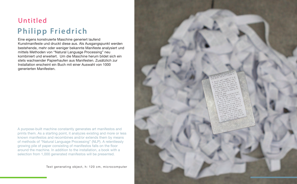# Untitled **Philipp Friedrich**

Eine eigens konstruierte Maschine generiert laufend Kunstmanifeste und druckt diese aus. Als Ausgangspunkt werden bestehende, mehr oder weniger bekannte Manifeste analysiert und mittels Methoden von "Natural Language Processing" neu kombiniert und erweitert. Um die Maschine herum bildet sich ein stets wachsender Papierhaufen aus Manifesten. Zusätzlich zur Installation erscheint ein Buch mit einer Auswahl von 1000 generierten Manifesten.

A purpose-built machine constantly generates art manifestos and prints them. As a starting point, it analyzes existing and more or less known manifestos and recombines and/or extends them by means of methods of "Natural Language Processing" (NLP). A relentlessly growing pile of paper consisting of manifestos falls on the floor around the machine. In addition to the installation, a book with a selection from 1,000 generated manifestos will be presented.

Text generating object, h: 120 cm, microcomputer

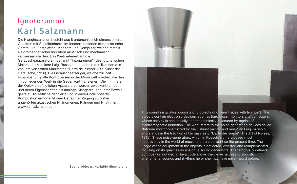### Ignotorumori **K arl S alzmann**

Die Klanginstallation besteht aus 8 unterschiedlich dimensionierten Objekten mit Schalltrichtern. Im Innerern befinden sich elektrische Geräte, u.a. Festplatten, Monitore und Computer, welche mittels elektromagnetischer Induktion akustisch und mechanisch vermessen werden. Das Werk referiert auf die Geräuscheapparaturen, genannt "Intonarumori", des futuristischen Malers und Musikers Luigi Russolo und steht in der Tradition des von ihm verfassten Manifestes "L`arte dei rumori" (Die Kunst der Geräusche, 1916). Die Geräuscheerzeuger, welche zur Zeit Russolos für große Kontroversen in der Musikwelt sorgten, werden im vorliegenden Werk in die Gegenwart transferiert. Die im Inneren der Objekte befindlichen Apparaturen werden zweckentfremdet und deren Eigenschaften als analoge Klangerzeuger unter Beweis gestellt. Die zeitliche definierte und in Java-Code notierte Kompostion ermöglicht dem Betrachter Zugang zu bisher ungehörten akustischen Phänomenen, Klängen und Rhythmen. www.karlsalzmann.com

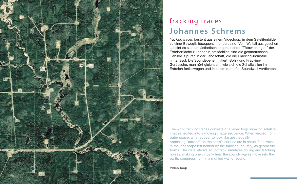

#### fracking traces **Johannes S chrems**

*fracking traces* besteht aus einem Videoloop, in dem Satelitenbilder zu einer Bewegtbildsequenz montiert sind. Vom Weltall aus gesehen scheint es sich um ästhetisch ansprechende "Tätowierungen" der Erdoberfläche zu handeln, tatsächlich sind die geometrischen Gebilde Spuren in der Landschaft, die die Fracking-Industrie hinterlässt. Die Soundebene imitiert Bohr- und Fracking-Geräusche, man hört gleichsam, wie sich die Schallwellen im Erdreich fortbewegen und in einem dumpfen Soundwall verdichten.

The work fracking traces consists of a video loop showing satellite images, edited into a moving image sequence. When viewed from outer space, what appear to look like aesthetically

appealing "tattoos" on the earth's surface are in actual fact traces in the landscape left behind by the fracking industry, as geometric forms. The installation's soundtrack simulates drilling and fracking noises, making one virtually hear the sound- waves move into the earth, compressing it in a muffled wall of sound.

Video loop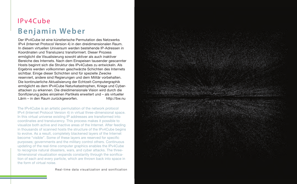## IPv4Cube **B enjamin Weber**

Der IPv4Cube ist eine künstlerische Permutation des Netzwerks IPv4 (Internet Protocol Version 4) in den dreidimensionalen Raum. In diesem virtuellen Universum werden bestehende IP-Adressen in Koordinaten und Transluzenz transformiert. Dieser Prozess ermöglicht die Visualisierung sowohl aktiver als auch inaktiver Bereiche des Internets. Nach dem Einspeisen tausender gescannter Hosts beginnt sich die Struktur des IPv4Cubes zu entwickeln. Als Ergebnis werden vollkommen geschwärzte Schichten des Internets sichtbar. Einige dieser Schichten sind für spezielle Zwecke reserviert, andere sind Regierungen und dem Militär vorbehalten. Die kontinuierliche Aktualisierung der Echtzeit-Computergraphik ermöglicht es dem IPv4Cube Naturkatastrophen, Kriege und Cyberattacken zu erkennen. Die dreidimensionale Vision wird durch die Sonifizierung jedes einzelnen Partikels erweitert und – als virtueller Lärm – in den Raum zurückgeworfen. http://bw.nu

The IPv4Cube is an artistic permutation of the network protocol IPv4 (Internet Protocol Version 4) in virtual three-dimensional space. In this virtual universe existing IP addresses are transformed into coordinates and translucency. This process makes it possible to visualize both active and inactive areas of the Internet. After feeding in thousands of scanned hosts the structure of the IPv4Cube begins to evolve. As a result, completely blackened layers of the Internet become "visible". Some of these layers are reserved for specific purposes; governments and the military control others. Continuous updating of the real-time computer graphics enables the IPv4Cube to recognize natural disasters, wars, and cyber attacks. The threedimensional visualization expands constantly through the sonification of each and every particle, which are thrown back into space in the form of virtual noise.

Real-time data visualization and sonification